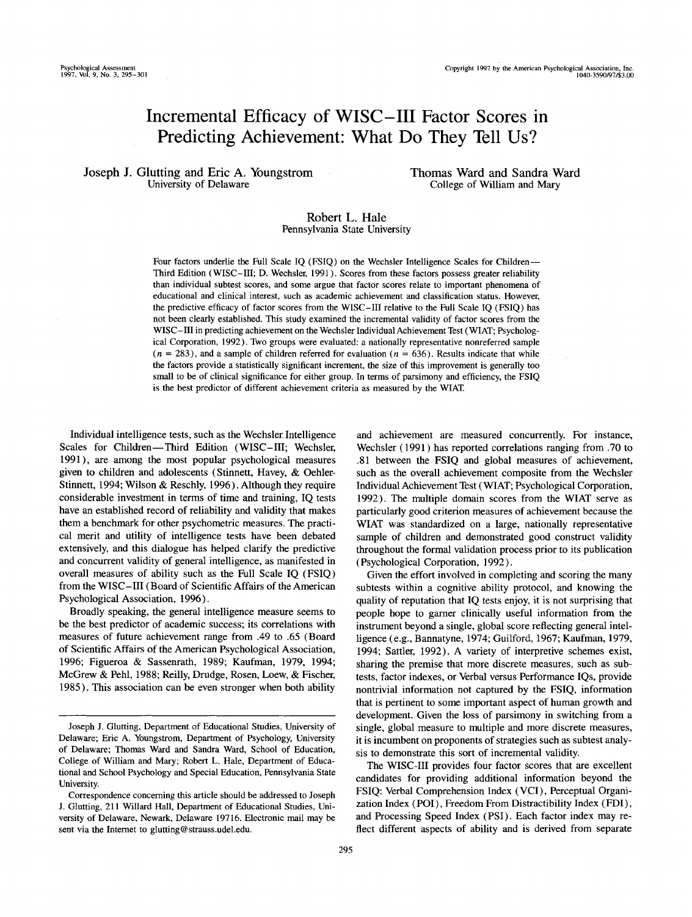# **Incremental Efficacy of WISC-III Factor Scores in Predicting Achievement: What Do They Tell Us?**

Joseph J. Glutting and Eric A. Youngstrom University of Delaware

Thomas Ward and Sandra Ward College of William and Mary

## Robert L. Hale Pennsylvania State University

Four factors underlie the Full Scale IQ (FSIQ) on the Wechsler Intelligence Scales for Children---Third Edition (WISC-III; D. Wechsler, 1991 ). Scores from these factors possess greater reliability than individual subtest scores, and some argue that factor scores relate to important phenomena of educational and clinical interest, such as academic achievement and classification status. However, the predictive efficacy of factor scores from the WISC-III relative to the Full Scale IQ (FSIQ) has not been clearly established. This study examined the incremental validity of factor scores from the WISC-III in predicting achievement on the Wechsler Individual Achievement Test (WIAT; Psychological Corporation, 1992). Two groups were evaluated: a nationally representative nonreferred sample  $(n = 283)$ , and a sample of children referred for evaluation  $(n = 636)$ . Results indicate that while the factors provide a statistically significant increment, the size of this improvement is generally too small to be of clinical significance for either group. In terms of parsimony and efficiency, the FSIQ is the best predictor of different achievement criteria as measured by the WIAT.

Individual intelligence tests, such as the Wechsler. Intelligence Scales for Children-Third Edition (WISC-III; Wechsler, 1991 ), are among the most popular psychological measures given to children and adolescents (Stinnett, Havey, & Oehler-Stinnett, 1994; Wilson & Reschly, 1996). Although they require considerable investment in terms of time and training, IQ tests have an established record of reliability and validity that makes them a benchmark for other psychometric measures. The practical merit and utility of intelligence tests have been debated extensively, and this dialogue has helped clarify the predictive and concurrent validity of general intelligence, as manifested in overall measures of ability such as the Full Scale IQ (FSIQ) from the WISC-III (Board of Scientific Affairs of the American Psychological Association, 1996).

Broadly speaking, the general intelligence measure seems to be the best predictor of academic success; its correlations with measures of future achievement range from .49 to .65 (Board of Scientific Affairs of the American Psychological Association, 1996; Figueroa & Sassenrath, 1989; Kaufman, 1979, 1994; McGrew & Pehl, 1988; Reilly, Drudge, Rosen, Loew, & Fischer, 1985). This association can be even stronger when both ability

and achievement are measured concurrently. For instance, Wechsler (1991) has reported correlations ranging from .70 to .81 between the FSIQ and global measures of achievement, such as the overall achievement composite from the Wechsler Individual Achievement Test (WIAT; Psychological Corporation, 1992). The multiple domain scores from the WIAT serve as particularly good criterion measures of achievement because the WIAT was standardized on a large, nationally representative sample of children and demonstrated good construct validity throughout the formal validation process prior to its publication (Psychological Corporation, 1992).

Given the effort involved in completing and scoring the many subtests within a cognitive ability protocol, and knowing the quality of reputation that IQ tests enjoy, it is not surprising that people hope to garner clinically useful information from the instrument beyond a single, global score reflecting general intelligence (e.g., Bannatyne, 1974; Guilford, 1967; Kaufman, 1979, 1994; Sattler, 1992). A variety of interpretive schemes exist, sharing the premise that more discrete measures, such as subtests, factor indexes, or Verbal versus Performance IQs, provide nontrivial information not captured by the FSIQ, information that is pertinent to some important aspect of human growth and development. Given the loss of parsimony in switching from a single, global measure to multiple and more discrete measures, it is incumbent on proponents of strategies such as subtest analysis to demonstrate this sort of incremental validity.

The WISC-III provides four factor scores that are excellent candidates for providing additional information beyond the FSIQ: Verbal Comprehension Index (VCI), Perceptual Organization Index (POI), Freedom From Distractibility Index (FDI), and Processing Speed Index (PSI). Each factor index may reflect different aspects of ability and is derived from separate

Joseph J. Glutting, Department of Educational Studies, University of Delaware; Eric A. Youngstrom, Department of Psychology, University of Delaware; Thomas Ward and Sandra Ward, School of Education, College of William and Mary; Robert L. Hale, Department of Educational and School Psychology and Special Education, Pennsylvania State University.

Correspondence concerning this article should be addressed to Joseph J. Glutting, 211 Willard Hall, Department of Educational Studies, University of Delaware, Newark, Delaware 19716. Electronic mail may be sent via the Internet to glutting@strauss.udel.edu.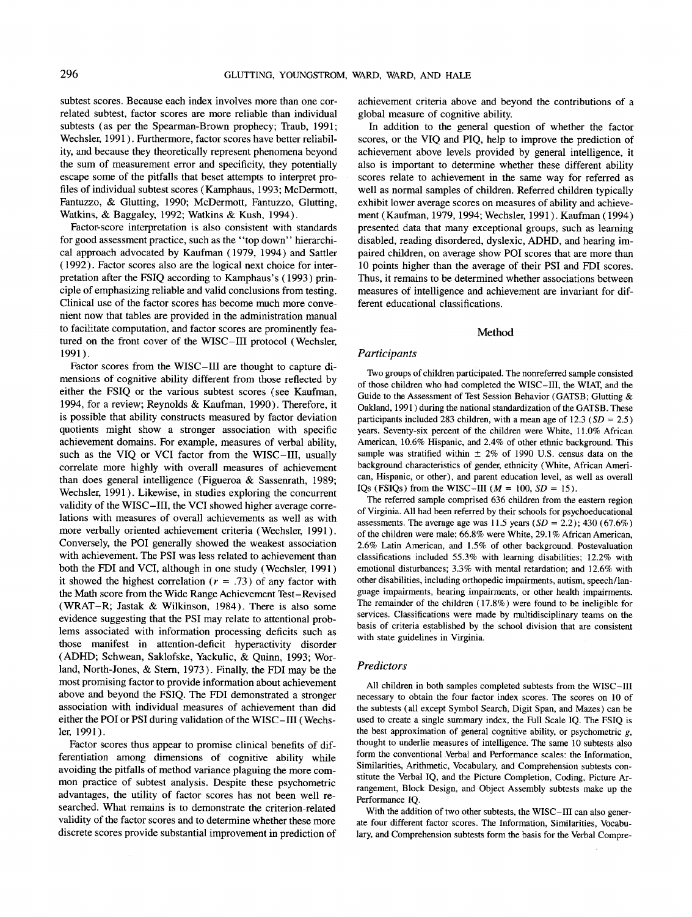subtest scores. Because each index involves more than one correlated subtest, factor scores are more reliable than individual subtests (as per the Spearman-Brown prophecy; Traub, 1991; Wechsler, 1991 ). Furthermore, factor scores have better reliability, and because they theoretically represent phenomena beyond the sum of measurement error and specificity, they potentially escape some of the pitfalls that beset attempts to interpret profiles of individual subtest scores (Kamphaus, 1993; McDermott, Fantuzzo, & Glutting, 1990; McDermott, Fantuzzo, Glutting, Watkins, & Baggaley, 1992; Watkins & Kush, 1994).

Factor-score interpretation is also consistent with standards for good assessment practice, such as the "top down" hierarchical approach advocated by Kaufman (1979, 1994) and Sattler (1992). Factor scores also are the logical next choice for interpretation after the FSIQ according to Kamphaus's (1993) principle of emphasizing reliable and valid conclusions from testing. Clinical use of the factor scores has become much more convenient now that tables are provided in the administration manual to facilitate computation, and factor scores are prominently featured on the front cover of the WISC-III protocol (Wechsler, 1991).

Factor scores from the WISC-III are thought to capture dimensions of cognitive ability different from those reflected by either the FSIQ or the various subtest scores (see Kaufman, 1994, for a review; Reynolds & Kaufman, 1990). Therefore, it is possible that ability constructs measured by factor deviation quotients might show a stronger association with specific achievement domains. For example, measures of verbal ability, such as the VIQ or VCI factor from the WISC-III, usually correlate more highly with overall measures of achievement than does general intelligence (Figueroa & Sassenrath, 1989; Wechsler, 1991 ). Likewise, in studies exploring the concurrent validity of the WISC-III, the VCI showed higher average correlations with measures of overall achievements as well as with more verbally oriented achievement criteria (Wechsler, 1991). Conversely, the POI generally showed the weakest association with achievement. The PSI was less related to achievement than both the FDI and VCI, although in one study (Wechsler, 1991) it showed the highest correlation ( $r = .73$ ) of any factor with the Math score from the Wide Range Achievement Test-Revised (WRAT-R; Jastak & Wilkinson, 1984). There is also some evidence suggesting that the PSI may relate to attentional problems associated with information processing deficits such as those manifest in attention-deficit hyperactivity disorder (ADHD; Schwean, Saklofske, Yackulic, & Quinn, 1993; Worland, North-Jones, & Stern, 1973). Finally, the FDI may be the most promising factor to provide information about achievement above and beyond the FSIQ. The FDI demonstrated a stronger association with individual measures of achievement than did either the POI or PSI during validation of the WlSC-III (Wechsler, 1991 ).

Factor scores thus appear to promise clinical benefits of differentiation among dimensions of cognitive ability while avoiding the pitfalls of method variance plaguing the more common practice of subtest analysis. Despite these psychometric advantages, the utility of factor scores has not been well researched. What remains is to demonstrate the criterion-related validity of the factor scores and to determine whether these more discrete scores provide substantial improvement in prediction of achievement criteria above and beyond the contributions of a global measure of cognitive ability.

In addition to the general question of whether the factor scores, or the VIQ and PIQ, help to improve the prediction of achievement above levels provided by general intelligence, it also is important to determine whether these different ability scores relate to achievement in the same way for referred as well as normal samples of children. Referred children typically exhibit lower average scores on measures of ability and achievement (Kaufman, 1979, 1994; Wechsler, 1991 ). Kaufman (1994) presented data that many exceptional groups, such as learning disabled, reading disordered, dyslexic, ADHD, and hearing impaired children, on average show POI scores that are more than 10 points higher than the average of their PSI and FDI scores. Thus, it remains to be determined whether associations between measures of intelligence and achievement are invariant for different educational classifications.

#### Method

### *Participants*

Two groups of children participated. The nonreferred sample consisted of those children who had completed the WISC-III, the WIAT, and the Guide to the Assessment of Test Session Behavior (GATSB; Glutting & Oakland, 1991 ) during the national standardization of the GATSB. These participants included 283 children, with a mean age of 12.3 ( $SD = 2.5$ ) years. Seventy-six percent of the children were White, 11.0% African American, 10.6% Hispanic, and 2.4% of other ethnic background. This sample was stratified within  $\pm$  2% of 1990 U.S. census data on the background characteristics of gender, ethnicity (White, African American, Hispanic, or other), and parent education level, as well as overall IQs (FSIQs) from the WISC-III ( $M = 100$ ,  $SD = 15$ ).

The referred sample comprised 636 children from the eastern region of Virginia. All had been referred by their schools for psychoeducational assessments. The average age was 11.5 years  $(SD = 2.2)$ ; 430 (67.6%) of the children were male; 66.8% were White, 29.1% African American, 2.6% Latin American, and 1.5% of other background. Postevaluation classifications included 55.3% with learning disabilities; 12.2% with emotional disturbances; 3.3% with mental retardation; and 12.6% with other disabilities, including orthopedic impairments, autism, speech/language impairments, hearing impairments, or other health impairments. The remainder of the children (17.8%) were found to be ineligible for services. Classifications were made by multidisciplinary teams on the basis of criteria established by the school division that are consistent with state guidelines in Virginia.

#### *Predictors*

All children in both samples completed subtests from the WISC-III necessary to obtain the four factor index scores. The scores on 10 of the subtests (all except Symbol Search, Digit Span, and Mazes) can be used to create a single summary index, the Full Scale IQ. The FSIQ is the best approximation of general cognitive ability, or psychometric  $g$ , thought to underlie measures of intelligence. The same 10 subtests also form the conventional Verbal and Performance scales: the Information, Similarities, Arithmetic, Vocabulary, and Comprehension subtests constitute the Verbal IQ, and the Picture Completion, Coding, Picture Arrangement, Block Design, and Object Assembly subtests make up the Performance IQ.

With the addition of two other subtests, the WISC-III can also generate four different factor scores. The Information, Similarities, Vocabulary, and Comprehension subtests form the basis for the Verbal Compre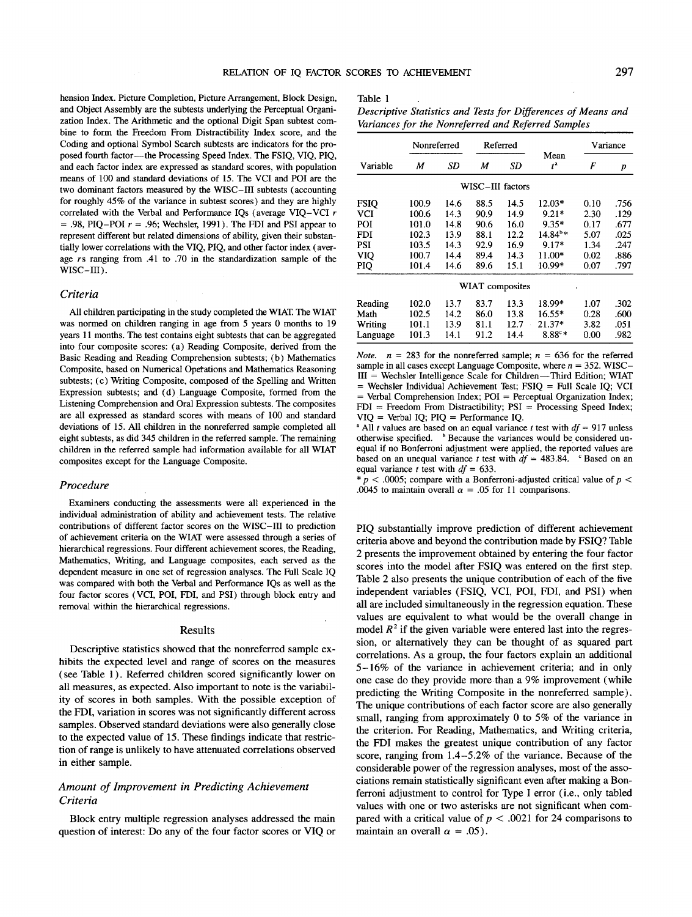hension Index. Picture Completion, Picture Arrangement, Block Design, and Object Assembly are the subtests underlying the Perceptual Organization Index. The Arithmetic and the optional Digit Span subtest combine to form the Freedom From Distractibility Index score, and the Coding and optional Symbol Search subtests are indicators for the proposed fourth factor---the Processing Speed Index. The FSIQ, VIQ, PIQ, and each factor index are expressed as standard scores, with population means of 100 and standard deviations of 15. The VCI and POI are the two dominant factors measured by the WISC-III subtests (accounting for roughly  $45\%$  of the variance in subtest scores) and they are highly correlated with the Verbal and Performance IQs (average VIQ-VCI  $r$  $= .98$ , PIQ-POI  $r = .96$ ; Wechsler, 1991). The FDI and PSI appear to represent different but related dimensions of ability, given their substantially lower correlations with the VIQ, PIQ, and other factor index (average  $rs$  ranging from .41 to .70 in the standardization sample of the  $WISC-III$ ).

#### *Criteria*

All children participating in the study completed the WIAT. The WIAT was normed on children ranging in age from 5 years 0 months to 19 years 11 months. The test contains eight subtests that can be aggregated into four composite scores: (a) Reading Composite, derived from the Basic Reading and Reading Comprehension subtests; (b) Mathematics Composite, based on Numerical Operations and Mathematics Reasoning subtests; (c) Writing Composite, composed of the Spelling and Written Expression subtests; and (d) Language Composite, formed from the Listening Comprehension and Oral Expression subtests. The composites are all expressed as standard scores with means of 100 and standard deviations of 15. All children in the nonreferred sample completed all eight subtests, as did 345 children in the referred sample. The remaining children in the referred sample had information available for all WIAT composites except for the Language Composite.

#### *Procedure*

Examiners conducting the assessments were all experienced in the individual administration of ability and achievement tests. The relative contributions of different factor scores on the WlSC-III to prediction of achievement criteria on the WIAT were assessed through a series of hierarchical regressions. Four different achievement scores, the Reading, Mathematics, Writing, and Language composites, each served as the dependent measure in one set of regression analyses. The Full Scale IQ was compared with both the Verbal and Performance IQs as well as the four factor scores (VCI, POI, FDI, and PSI) through block entry and removal within the hierarchical regressions.

### Results

Descriptive statistics showed that the nonreferred sample exhibits the expected level and range of scores on the measures (see Table 1). Referred children scored significantly lower on all measures, as expected. Also important to note is the variability of scores in both samples. With the possible exception of the FDI, variation in scores was not significantly different across samples. Observed standard deviations were also generally close to the expected value of 15. These findings indicate that restriction of range is unlikely to have attenuated correlations observed in either sample.

## *Amount of Improvement in Predicting Achievement Criteria*

Block entry multiple regression analyses addressed the main question of interest: Do any of the four factor scores or VIQ or

#### Table 1

*Descriptive Statistics and Tests for Differences of Means and Variances for the Nonreferred and Referred Samples* 

|          | Nonreferred |      | Referred         |      |                     |      | Variance |  |
|----------|-------------|------|------------------|------|---------------------|------|----------|--|
| Variable | M           | SD   | M                | SD   | Mean<br>$t^{\rm a}$ | F    | p        |  |
|          |             |      | WISC-III factors |      |                     |      |          |  |
| FSIO     | 100.9       | 14.6 | 88.5             | 14.5 | 12.03*              | 0.10 | .756     |  |
| VCI      | 100.6       | 14.3 | 90.9             | 14.9 | $9.21*$             | 2.30 | .129     |  |
| POI      | 101.0       | 14.8 | 90.6             | 16.0 | $9.35*$             | 0.17 | .677     |  |
| FDI      | 102.3       | 13.9 | 88.1             | 12.2 | $14.84^{\rm b*}$    | 5.07 | .025     |  |
| PSI      | 103.5       | 14.3 | 92.9             | 16.9 | $9.17*$             | 1.34 | .247     |  |
| VIO      | 100.7       | 14.4 | 89.4             | 14.3 | 11.00*              | 0.02 | .886     |  |
| PIQ      | 101.4       | 14.6 | 89.6             | 15.1 | 10.99*              | 0.07 | .797     |  |
|          |             |      | WIAT composites  |      |                     |      |          |  |
| Reading  | 102.0       | 13.7 | 83.7             | 13.3 | 18.99*              | 1.07 | .302     |  |
| Math     | 102.5       | 14.2 | 86.0             | 13.8 | $16.55*$            | 0.28 | .600     |  |
| Writing  | 101.1       | 13.9 | 81.1             | 12.7 | $21.37*$            | 3.82 | .051     |  |
| Language | 101.3       | 14.1 | 91.2             | 14.4 | $8.88^{\circ*}$     | 0.00 | .982     |  |
|          |             |      |                  |      |                     |      |          |  |

*Note.*  $n = 283$  for the nonreferred sample;  $n = 636$  for the referred sample in all cases except Language Composite, where  $n = 352$ . WISC- $III$  = Wechsler Intelligence Scale for Children-Third Edition; WIAT = Wechsler Individual Achievement Test; FSIQ = Full Scale IQ; VCI  $=$  Verbal Comprehension Index; POI  $=$  Perceptual Organization Index;  $FDI = Freedom From Districtibility; PSI = Processing Speed Index;$ VIQ = Verbal IQ; PIQ = Performance IQ.

<sup>a</sup> All *t* values are based on an equal variance *t* test with  $df = 917$  unless otherwise specified. <sup>b</sup> Because the variances would be considered unequal if no Bonferroni adjustment were applied, the reported values are based on an unequal variance *t* test with  $df = 483.84$ . <sup>c</sup> Based on an based on an unequal variance t test with  $df = 483.84$ . equal variance t test with  $df = 633$ .

\*  $p$  < .0005; compare with a Bonferroni-adjusted critical value of  $p$  < .0045 to maintain overall  $\alpha = .05$  for 11 comparisons.

PIQ substantially improve prediction of different achievement criteria above and beyond the contribution made by FSIQ? Table 2 presents the improvement obtained by entering the four factor scores into the model after FSIQ was entered on the first step. Table 2 also presents the unique contribution of each of the five independent variables (FSIQ, VCI, POI, FDI, and PSI) when all are included simultaneously in the regression equation. These values are equivalent to what would be the overall change in model  $R<sup>2</sup>$  if the given variable were entered last into the regression, or alternatively they can be thought of as squared part correlations. As a group, the four factors explain an additional 5-16% of the variance in achievement criteria; and in only one case do they provide more than a 9% improvement (while predicting the Writing Composite in the nonreferred sample). The unique contributions of each factor score are also generally small, ranging from approximately 0 to 5% of the variance in the criterion. For Reading, Mathematics, and Writing criteria, the FDI makes the greatest unique contribution of any factor score, ranging from 1.4-5.2% of the variance. Because of the considerable power of the regression analyses, most of the associations remain statistically significant even after making a Bonferroni adjustment to control for Type I error (i.e., only tabled values with one or two asterisks are not significant when compared with a critical value of  $p < .0021$  for 24 comparisons to maintain an overall  $\alpha = .05$ ).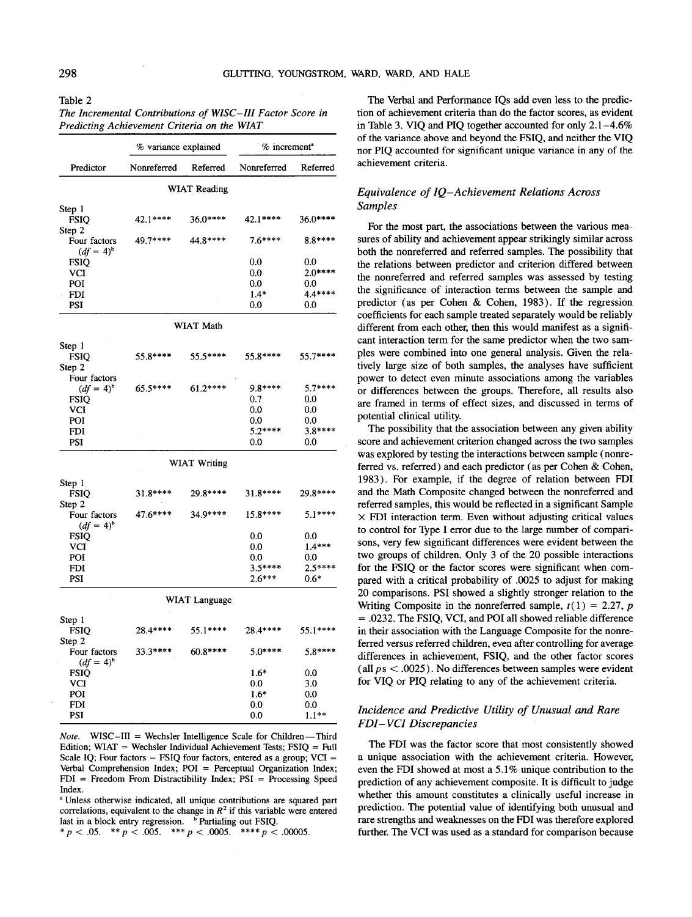| Table 2                                                   |  |
|-----------------------------------------------------------|--|
| The Incremental Contributions of WISC–III Factor Score in |  |
| Predicting Achievement Criteria on the WIAT               |  |

|                                          | % variance explained |                     | % increment <sup>a</sup> |                |  |
|------------------------------------------|----------------------|---------------------|--------------------------|----------------|--|
| Predictor                                | Nonreferred          | Referred            | Nonreferred              | Referred       |  |
|                                          |                      | <b>WIAT Reading</b> |                          |                |  |
| Step 1<br>FSIQ                           | 42.1 ****            | 36.0****            | 42.1****                 | $36.0***$      |  |
| Step 2<br>Four factors<br>$(df = 4)^{o}$ | 49.7****             | 44.8****            | $7.6***$                 | 8.8****        |  |
| <b>FSIO</b>                              |                      |                     | 0.0                      | $_{0.0}$       |  |
| VCI                                      |                      |                     | 0.0                      | $2.0***$       |  |
| POI                                      |                      |                     | 0.0                      | 0.0            |  |
| <b>FDI</b>                               |                      |                     | $1.4*$                   | $4.4***$       |  |
| <b>PSI</b>                               |                      |                     | 0.0                      | 0.0            |  |
|                                          |                      | WIAT Math           |                          |                |  |
| Step 1<br><b>FSIQ</b><br>Step 2          | 55.8****             | 55.5****            | 55.8****                 | 55.7****       |  |
| Four factors                             |                      |                     |                          |                |  |
| $(df = 4)^{b}$                           | 65.5****             | $61.2***$           | 9.8****                  | $5.7****$      |  |
| <b>FSIO</b>                              |                      |                     | 0.7                      | 0.0            |  |
| <b>VCI</b>                               |                      |                     | 0.0                      | 0.0            |  |
| POI                                      |                      |                     | $_{0.0}$                 | 0.0            |  |
| <b>FDI</b><br><b>PSI</b>                 |                      |                     | $5.2***$<br>0.0          | 3.8****<br>0.0 |  |
|                                          |                      |                     |                          |                |  |
|                                          |                      | <b>WIAT Writing</b> |                          |                |  |
| Step 1<br>FSIQ<br>Step 2                 | 31.8****             | 29.8****            | $31.8***$                | 29.8****       |  |
| Four factors<br>$(df = 4)^{b}$           | $47.6***$            | 34.9****            | 15.8****                 | $5.1***$       |  |
| <b>FSIO</b>                              |                      |                     | $_{0.0}$                 | $_{0.0}$       |  |
| <b>VCI</b>                               |                      |                     | 0.0                      | $1.4***$       |  |
| POI                                      |                      |                     | 0.0                      | 0.0            |  |
| <b>FDI</b>                               |                      |                     | $3.5****$                | $2.5***$       |  |
| PSI                                      |                      |                     | $2.6***$                 | $0.6*$         |  |
|                                          |                      | WIAT Language       |                          |                |  |
| Step 1<br>FSIQ                           | 28.4****             | 55.1****            | 28.4****                 | 55.1****       |  |
| Step 2                                   |                      |                     |                          |                |  |
| Four factors<br>$(df = 4)^b$             | 33.3****             | 60.8****            | 5.0****                  | 5.8****        |  |
| <b>FSIQ</b>                              |                      |                     | $1.6*$                   | 0.0            |  |
| VCI                                      |                      |                     | 0.0                      | 3.0            |  |
| POI                                      |                      |                     | $1.6*$                   | 0.0            |  |
| FDI                                      |                      |                     | $_{0.0}$                 | 0.0            |  |
| <b>PSI</b>                               |                      |                     | $_{0.0}$                 | $1.1**$        |  |

 $Note.$  WISC-III = Wechsler Intelligence Scale for Children-Third Edition;  $WIAT = Wechsler Individual Achievement Tests; FSIQ = Full$ Scale IQ; Four factors = FSIQ four factors, entered as a group;  $VCI =$ Verbal Comprehension Index; POI = Perceptual Organization Index; FDI = Freedom From Distractibility Index; PSI = Processing Speed Index.

a Unless otherwise indicated, all unique contributions are squared part correlations, equivalent to the change in  $R<sup>2</sup>$  if this variable were entered last in a block entry regression. <sup>b</sup> Partialing out FSIQ.

 $* p < .05.$  \*\* $p < .005.$  \*\*\* $p < .0005.$  \*\*\*\* $p < .00005.$ 

The Verbal and Performance IQs add even less to the prediction of achievement criteria than do the factor scores, as evident in Table 3. VIQ and PIQ together accounted for only 2.1-4.6% of the variance above and beyond the FSIQ, and neither the VIQ nor PIQ accounted for significant unique variance in any of the achievement criteria.

## *Equivalence of IQ-Achievement Relations Across Samples*

For the most part, the associations between the various measures of ability and achievement appear strikingly similar across both the nonreferred and referred samples. The possibility that the relations between predictor and criterion differed between the nonreferred and referred samples was assessed by testing the significance of interaction terms between the sample and predictor (as per Cohen & Cohen, 1983). If the regression coefficients for each sample treated separately would be reliably different from each other, then this would manifest as a significant interaction term for the same predictor when the two sampies were combined into one general analysis. Given the relatively large size of both samples, the analyses have sufficient power to detect even minute associations among the variables or differences between the groups. Therefore, all results also are framed in terms of effect sizes, and discussed in terms of potential clinical utility.

The possibility that the association between any given ability score and achievement criterion changed across the two samples was explored by testing the interactions between sample (nonreferred vs. referred) and each predictor (as per Cohen & Cohen, 1983). For example, if the degree of relation between FDI and the Math Composite changed between the nonreferred and referred samples, this would be reflected in a significant Sample  $\times$  FDI interaction term. Even without adjusting critical values to control for Type I error due to the large number of comparisons, very few significant differences were evident between the two groups of children. Only 3 of the 20 possible interactions for the FSIQ or the factor scores were significant when compared with a critical probability of .0025 to adjust for making 20 comparisons. PSI showed a slightly stronger relation to the Writing Composite in the nonreferred sample,  $t(1) = 2.27$ , p = .0232. The FSIQ, VCI, and POI all showed reliable difference in their association with the Language Composite for the nonreferred versus referred children, even after controlling for average differences in achievement, FSIQ, and the other factor scores (all  $ps < .0025$ ). No differences between samples were evident for VIQ or PIQ relating to any of the achievement criteria.

## *Incidence and Predictive Utility of Unusual and Rare FDI- VCI Discrepancies*

The FDI was the factor score that most consistently showed a unique association with the achievement criteria. However, even the FDI showed at most a 5.1% unique contribution to the prediction of any achievement composite. It is difficult to judge whether this amount constitutes a clinically useful increase in prediction. The potential value of identifying both unusual and rare strengths and weaknesses on the FDI was therefore explored further. The VCI was used as a standard for comparison because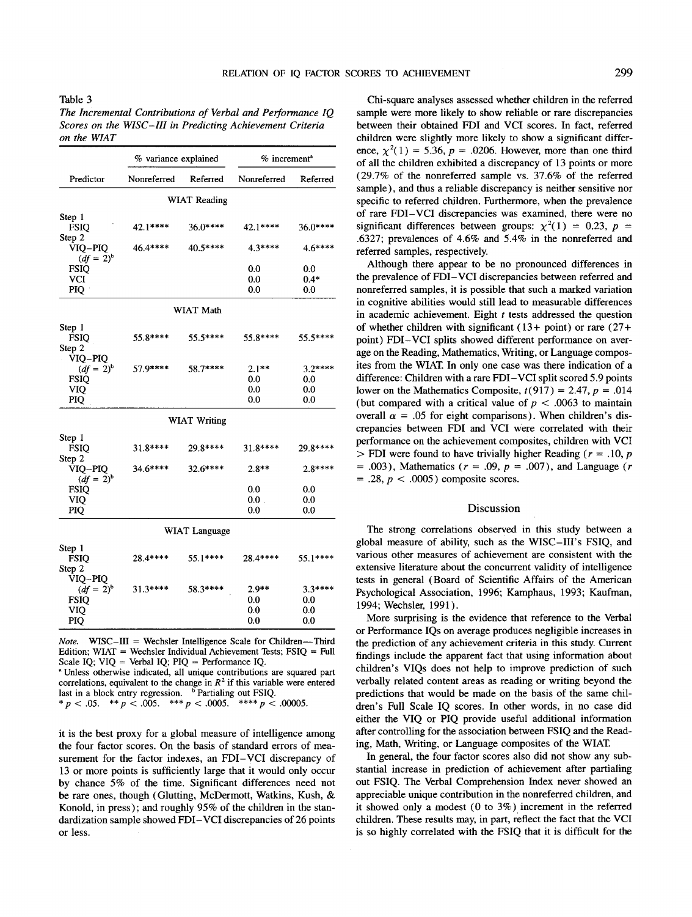Table 3

*The Incremental Contributions of Verbal and Performance IQ Scores on the WISC-III in Predicting Achievement Criteria on the WIAT* 

|                                 | % variance explained |                      | % increment <sup>a</sup> |                 |  |  |  |
|---------------------------------|----------------------|----------------------|--------------------------|-----------------|--|--|--|
| Predictor                       | Nonreferred          | Referred             | Nonreferred              | Referred        |  |  |  |
| <b>WIAT</b> Reading             |                      |                      |                          |                 |  |  |  |
| Step 1                          |                      |                      |                          |                 |  |  |  |
| <b>FSIQ</b><br>Step 2           | 42.1****             | $36.0***$            | 42.1****                 | 36.0****        |  |  |  |
| VIQ-PIQ<br>$(df = 2)^b$         | 46.4****             | 40.5****             | 4.3****                  | $4.6***$        |  |  |  |
| <b>FSIQ</b>                     |                      |                      | 0.0                      | 0.0             |  |  |  |
| <b>VCI</b>                      |                      |                      | 0.0                      | $0.4*$          |  |  |  |
| PIQ                             |                      |                      | 0.0                      | 0.0             |  |  |  |
| WIAT Math                       |                      |                      |                          |                 |  |  |  |
| Step 1                          |                      |                      |                          |                 |  |  |  |
| <b>FSIO</b><br>Step 2           | 55.8****             | 55.5****             | 55.8****                 | 55.5****        |  |  |  |
| VIO-PIO                         | 57.9****             | 58.7****             |                          |                 |  |  |  |
| $(df = 2)^{b}$<br><b>FSIQ</b>   |                      |                      | $2.1**$<br>0.0           | $3.2***$<br>0.0 |  |  |  |
| VIQ                             |                      |                      | 0.0                      | 0.0             |  |  |  |
| PIQ                             |                      |                      | 0.0                      | 0.0             |  |  |  |
|                                 |                      | <b>WIAT Writing</b>  |                          |                 |  |  |  |
|                                 |                      |                      |                          |                 |  |  |  |
| Step 1<br><b>FSIQ</b><br>Step 2 | 31.8****             | 29.8****             | $31.8***$                | 29.8****        |  |  |  |
| $VIQ-PIQ$<br>$(df = 2)^{b}$     | 34.6****             | $32.6***$            | $2.8**$                  | $2.8***$        |  |  |  |
| <b>FSIQ</b>                     |                      |                      | 0.0                      | 0.0             |  |  |  |
| VIQ                             |                      |                      | $0.0$ .                  | 0.0             |  |  |  |
| PIQ                             |                      |                      | 0.0                      | 0.0             |  |  |  |
|                                 |                      | <b>WIAT Language</b> |                          |                 |  |  |  |
| Step 1                          |                      |                      |                          |                 |  |  |  |
| <b>FSIO</b><br>Step 2           | 28.4 ****            | 55.1****             | 28.4****                 | 55.1****        |  |  |  |
| VIQ-PIQ                         |                      |                      |                          |                 |  |  |  |
| $(df = 2)^{b}$                  | $31.3***$            | 58.3****             | $2.9**$                  | 3.3****         |  |  |  |
| <b>FSIQ</b>                     |                      |                      | 0.0<br>0.0               | 0.0<br>0.0      |  |  |  |
| <b>VIQ</b><br>PIQ               |                      |                      | 0.0                      | 0.0             |  |  |  |
|                                 |                      |                      |                          |                 |  |  |  |

 $Note.$  WISC-III = Wechsler Intelligence Scale for Children-Third Edition; WIAT = Wechsler Individual Achievement Tests; FSIQ = Full Scale IQ; VIQ = Verbal IQ; PIQ = Performance IQ.

a Unless otherwise indicated, all unique contributions are squared part correlations, equivalent to the change in  $R^2$  if this variable were entered last in a block entry regression. <sup>b</sup> Partialing out FSIQ.

 $* p < .05.$   $** p < .005.$   $** p < .0005.$   $*** p < .00005.$ 

it is the best proxy for a global measure of intelligence among the four factor scores. On the basis of standard errors of measurement for the factor indexes, an FDI-VCI discrepancy of 13 or more points is sufficiently large that it would only occur by chance 5% of the time. Significant differences need not be rare ones, though (Glutting, McDermott, Watkins, Kush, & Konold, in press); and roughly 95% of the children in the standardization sample showed FDI-VCI discrepancies of 26 points or less.

Chi-square analyses assessed whether children in the referred sample were more likely to show reliable or rare discrepancies between their obtained FDI and VCI scores. In fact, referred children were slightly more likely to show a significant difference,  $\chi^2(1) = 5.36$ ,  $p = .0206$ . However, more than one third of all the children exhibited a discrepancy of 13 points or more (29.7% of the nonreferred sample vs. 37.6% of the referred sample), and thus a reliable discrepancy is neither sensitive nor specific to referred children. Furthermore, when the prevalence of rare FDI-VCI discrepancies was examined, there were no significant differences between groups:  $\chi^2(1) = 0.23$ ,  $p =$ .6327; prevalences of 4.6% and 5.4% in the nonreferred and referred samples, respectively.

Although there appear to be no pronounced differences in the prevalence of FDI-VCI discrepancies between referred and nonreferred samples, it is possible that such a marked variation in cognitive abilities would still lead to measurable differences in academic achievement. Eight  $t$  tests addressed the question of whether children with significant  $(13+$  point) or rare  $(27+$ point) FDI-VCI splits showed different performance on average on the Reading, Mathematics, Writing, or Language composites from the WlAT. In only one case was there indication of a difference: Children with a rare FDI-VCI split scored 5.9 points lower on the Mathematics Composite,  $t(917) = 2.47$ ,  $p = .014$ (but compared with a critical value of  $p < .0063$  to maintain overall  $\alpha = .05$  for eight comparisons). When children's discrepancies between FDI and VCI were correlated with their performance on the achievement composites, children with VCI  $>$  FDI were found to have trivially higher Reading ( $r = .10$ , p  $= .003$ ), Mathematics ( $r = .09$ ,  $p = .007$ ), and Language ( $r = .003$ )  $= .28, p < .0005$ ) composite scores.

## Discussion

The strong correlations observed in this study between a global measure of ability, such as the WISC-III's FSIQ, and various other measures of achievement are consistent with the extensive literature about the concurrent validity of intelligence tests in general (Board of Scientific Affairs of the American Psychological Association, 1996; Kamphaus, 1993; Kaufman, 1994; Wechsler, 1991 ).

More surprising is the evidence that reference to the Verbal or Performance IQs on average produces negligible increases in the prediction of any achievement criteria in this study. Current findings include the apparent fact that using information about children's VIQs does not help to improve prediction of such verbally related content areas as reading or writing beyond the predictions that would be made on the basis of the same children's Full Scale IQ scores. In other words, in no case did either the VIQ or PIQ provide useful additional information after controlling for the association between FSIQ and the Reading, Math, Writing, or Language composites of the WlAT.

In general, the four factor scores also did not show any substantial increase in prediction of achievement after partialing out FSIQ. The Verbal Comprehension Index never showed an appreciable unique contribution in the nonreferred children, and it showed only a modest  $(0 \text{ to } 3\%)$  increment in the referred children. These results may, in part, reflect the fact that the VCI is so highly correlated with the FSIQ that it is difficult for the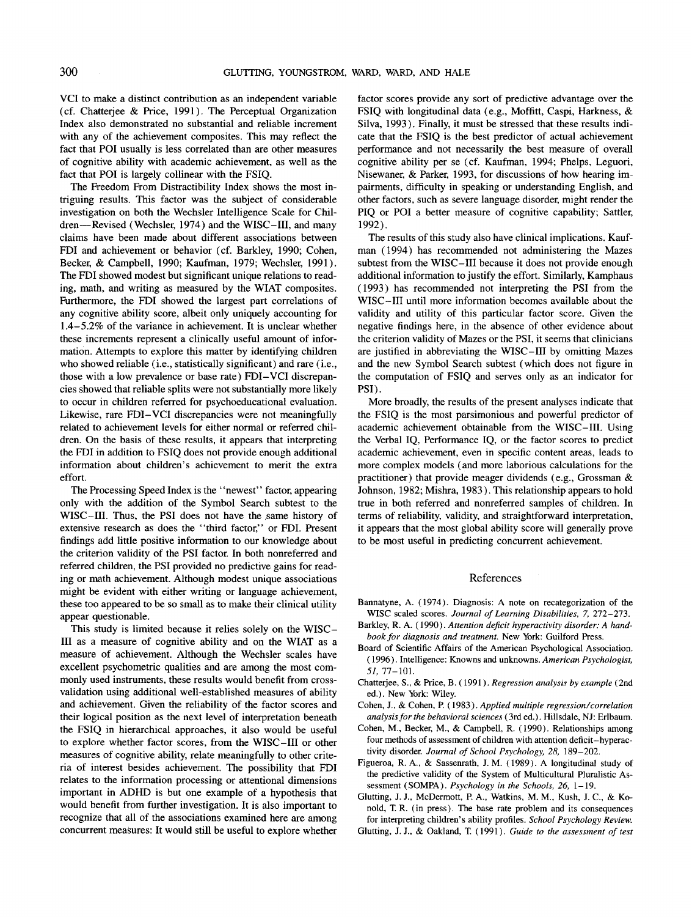VCI to make a distinct contribution as an independent variable (cf. Chatterjee & Price, 1991). The Perceptual Organization Index also demonstrated no substantial and reliable increment with any of the achievement composites. This may reflect the fact that POI usually is less correlated than are other measures of cognitive ability with academic achievement, as well as the fact that POI is largely collinear with the FSIQ.

The Freedom From Distractibility Index shows the most intriguing results. This factor was the subject of considerable investigation on both the Wechsler Intelligence Scale for Children-Revised (Wechsler, 1974) and the WISC-III, and many claims have been made about different associations between FDI and achievement or behavior (cf. Barkley, 1990; Cohen, Becker, & Campbell, 1990; Kaufman, 1979; Wechsler, 1991). The FDI showed modest but significant unique relations to reading, math, and writing as measured by the WIAT composites. Furthermore, the FDI showed the largest part correlations of any cognitive ability score, albeit only uniquely accounting for 1.4-5.2% of the variance in achievement. It is unclear whether these increments represent a clinically useful amount of information. Attempts to explore this matter by identifying children who showed reliable (i.e., statistically significant) and rare (i.e., those with a low prevalence or base rate) FDI-VCI discrepancies showed that reliable splits were not substantially more likely to occur in children referred for psychoeducational evaluation. Likewise, rare FDI-VCI discrepancies were not meaningfully related to achievement levels for either normal or referred children. On the basis of these results, it appears that interpreting the FDI in addition to FSIQ does not provide enough additional information about children's achievement to merit the extra effort.

The Processing Speed Index is the "newest" factor, appearing only with the addition of the Symbol Search subtest to the WISC-III. Thus, the PSI does not have the same history of extensive research as does the "third factor," or FDI. Present findings add little positive information to our knowledge about the criterion validity of the PSI factor. In both nonreferred and referred children, the PSI provided no predictive gains for reading or math achievement. Although modest unique associations might be evident with either writing or language achievement, these too appeared to be so small as to make their clinical utility appear questionable.

This study is limited because it relies solely on the WISC-III as a measure of cognitive ability and on the WlAT as a measure of achievement. Although the Wechsler scales have excellent psychometric qualities and are among the most commonly used instruments, these results would benefit from crossvalidation using additional well-established measures of ability and achievement. Given the reliability of the factor scores and their logical position as the next level of interpretation beneath the FSIQ in hierarchical approaches, it also would be useful to explore whether factor scores, from the WISC-III or other measures of cognitive ability, relate meaningfully to other criteria of interest besides achievement. The possibility that FDI relates to the information processing or attentional dimensions important in ADHD is but one example of a hypothesis that would benefit from further investigation. It is also important to recognize that all of the associations examined here are among concurrent measures: It would still be useful to explore whether

factor scores provide any sort of predictive advantage over the FSIQ with longitudinal data (e.g., Moffitt, Caspi, Harkness, & Silva, 1993). Finally, it must be stressed that these results indicate that the FSIQ is the best predictor of actual achievement performance and not necessarily the best measure of overall cognitive ability per se (cf. Kaufman, 1994; Phelps, Leguori, Nisewaner, & Parker, 1993, for discussions of how hearing impairments, difficulty in speaking or understanding English, and other factors, such as severe language disorder, might render the PIQ or POI a better measure of cognitive capability; Sattler, 1992).

The results of this study also have clinical implications. Kaufman (1994) has recommended not administering the Mazes subtest from the WISC-III because it does not provide enough additional information to justify the effort. Similarly, Kamphaus (1993) has recommended not interpreting the PSI from the WISC-III until more information becomes available about the validity and utility of this particular factor score. Given the negative findings here, in the absence of other evidence about the criterion validity of Mazes or the PSI, it seems that clinicians are justified in abbreviating the WISC-III by omitting Mazes and the new Symbol Search subtest (which does not figure in the computation of FSIQ and serves only as an indicator for PSI).

More broadly, the results of the present analyses indicate that the FSIQ is the most parsimonious and powerful predictor of academic achievement obtainable from the WlSC-III. Using the Verbal IQ, Performance IQ, or the factor scores to predict academic achievement, even in specific content areas, leads to more complex models (and more laborious calculations for the practitioner) that provide meager dividends (e.g., Grossman & Johnson, 1982; Mishra, 1983). This relationship appears to hold true in both referred and nonreferred samples of children. In terms of reliability, validity, and straightforward interpretation, it appears that the most global ability score will generally prove to be most useful in predicting concurrent achievement.

## References

- Bannatyne, A. (1974). Diagnosis: A note on recategorization of the WlSC scaled scores. *Journal of Learning Disabilities,* 7, 272-273.
- Barkley, R. A. (1990). *Attention deficit hyperactivity disorder: A handbook for diagnosis and treatment.* New York: Guilford Press.
- Board of Scientific Affairs of the American Psychological Association. (1996). Intelligence: Knowns and unknowns. *American Psychologist, 51,* 77-101.
- Chatterjee, S., & Price, B. ( 1991 ). *Regression analysis by example* (2nd ed.). New York: Wiley.
- Cohen, J., & Cohen, P. (1983). *Applied multiple regression/correlation analysis for the behavioral sciences* (3rd ed.). Hillsdale, NJ: Erlbaum.
- Cohen, M., Becker, M., & Campbell, R. (1990). Relationships among four methods of assessment of children with attention deficit-hyperactivity disorder. *Journal of School Psychology, 28,* 189-202.
- Figueroa, R. A., & Sassenrath, J. M. (1989). A longitudinal study of the predictive validity of the System of Multicultural Pluralistic Assessment (SOMPA). *Psychology in the Schools, 26,* 1-19.
- Glutting, J. J., McDermott, P. A., Watkins, M. M., Kush, J. C., & Konold, T. R. (in press). The base rate problem and its consequences for interpreting children's ability profiles. *School Psychology Review.*
- Glutting, J. J., & Oakland, T. (1991). *Guide to the assessment of test*